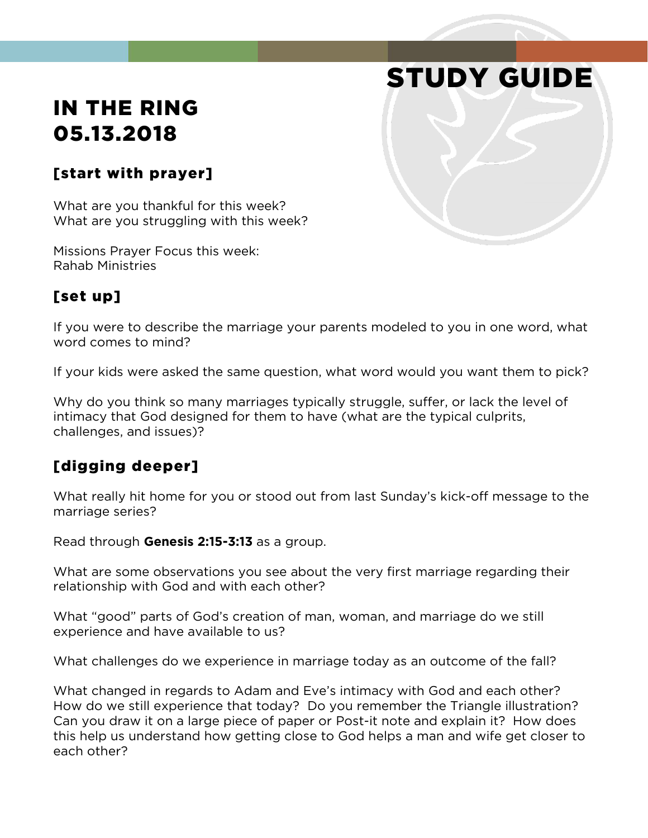# IN THE RING 05.13.2018

#### [start with prayer]

What are you thankful for this week? What are you struggling with this week?

Missions Prayer Focus this week: Rahab Ministries

#### [set up]

If you were to describe the marriage your parents modeled to you in one word, what word comes to mind?

STUDY GUIDE

If your kids were asked the same question, what word would you want them to pick?

Why do you think so many marriages typically struggle, suffer, or lack the level of intimacy that God designed for them to have (what are the typical culprits, challenges, and issues)?

#### [digging deeper]

What really hit home for you or stood out from last Sunday's kick-off message to the marriage series?

Read through **Genesis 2:15-3:13** as a group.

What are some observations you see about the very first marriage regarding their relationship with God and with each other?

What "good" parts of God's creation of man, woman, and marriage do we still experience and have available to us?

What challenges do we experience in marriage today as an outcome of the fall?

What changed in regards to Adam and Eve's intimacy with God and each other? How do we still experience that today? Do you remember the Triangle illustration? Can you draw it on a large piece of paper or Post-it note and explain it? How does this help us understand how getting close to God helps a man and wife get closer to each other?